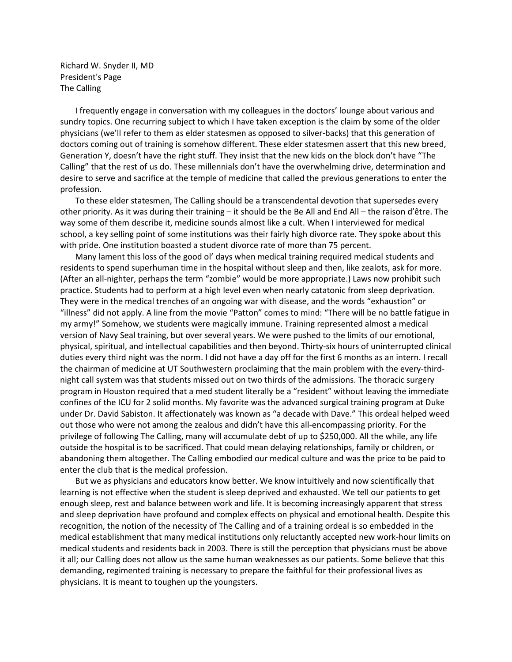Richard W. Snyder II, MD President's Page The Calling

I frequently engage in conversation with my colleagues in the doctors' lounge about various and sundry topics. One recurring subject to which I have taken exception is the claim by some of the older physicians (we'll refer to them as elder statesmen as opposed to silver-backs) that this generation of doctors coming out of training is somehow different. These elder statesmen assert that this new breed, Generation Y, doesn't have the right stuff. They insist that the new kids on the block don't have "The Calling" that the rest of us do. These millennials don't have the overwhelming drive, determination and desire to serve and sacrifice at the temple of medicine that called the previous generations to enter the profession.

To these elder statesmen, The Calling should be a transcendental devotion that supersedes every other priority. As it was during their training – it should be the Be All and End All – the raison d'être. The way some of them describe it, medicine sounds almost like a cult. When I interviewed for medical school, a key selling point of some institutions was their fairly high divorce rate. They spoke about this with pride. One institution boasted a student divorce rate of more than 75 percent.

Many lament this loss of the good ol' days when medical training required medical students and residents to spend superhuman time in the hospital without sleep and then, like zealots, ask for more. (After an all-nighter, perhaps the term "zombie" would be more appropriate.) Laws now prohibit such practice. Students had to perform at a high level even when nearly catatonic from sleep deprivation. They were in the medical trenches of an ongoing war with disease, and the words "exhaustion" or "illness" did not apply. A line from the movie "Patton" comes to mind: "There will be no battle fatigue in my army!" Somehow, we students were magically immune. Training represented almost a medical version of Navy Seal training, but over several years. We were pushed to the limits of our emotional, physical, spiritual, and intellectual capabilities and then beyond. Thirty-six hours of uninterrupted clinical duties every third night was the norm. I did not have a day off for the first 6 months as an intern. I recall the chairman of medicine at UT Southwestern proclaiming that the main problem with the every-thirdnight call system was that students missed out on two thirds of the admissions. The thoracic surgery program in Houston required that a med student literally be a "resident" without leaving the immediate confines of the ICU for 2 solid months. My favorite was the advanced surgical training program at Duke under Dr. David Sabiston. It affectionately was known as "a decade with Dave." This ordeal helped weed out those who were not among the zealous and didn't have this all-encompassing priority. For the privilege of following The Calling, many will accumulate debt of up to \$250,000. All the while, any life outside the hospital is to be sacrificed. That could mean delaying relationships, family or children, or abandoning them altogether. The Calling embodied our medical culture and was the price to be paid to enter the club that is the medical profession.

But we as physicians and educators know better. We know intuitively and now scientifically that learning is not effective when the student is sleep deprived and exhausted. We tell our patients to get enough sleep, rest and balance between work and life. It is becoming increasingly apparent that stress and sleep deprivation have profound and complex effects on physical and emotional health. Despite this recognition, the notion of the necessity of The Calling and of a training ordeal is so embedded in the medical establishment that many medical institutions only reluctantly accepted new work-hour limits on medical students and residents back in 2003. There is still the perception that physicians must be above it all; our Calling does not allow us the same human weaknesses as our patients. Some believe that this demanding, regimented training is necessary to prepare the faithful for their professional lives as physicians. It is meant to toughen up the youngsters.